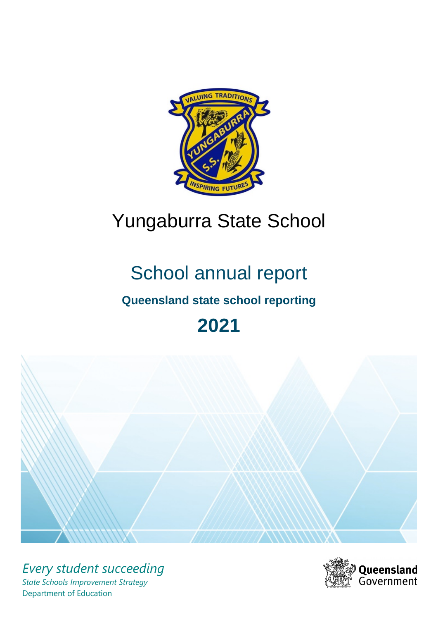

# Yungaburra State School

# School annual report

# **Queensland state school reporting**

# **2021**



*Every student succeeding State Schools Improvement Strategy* Department of Education

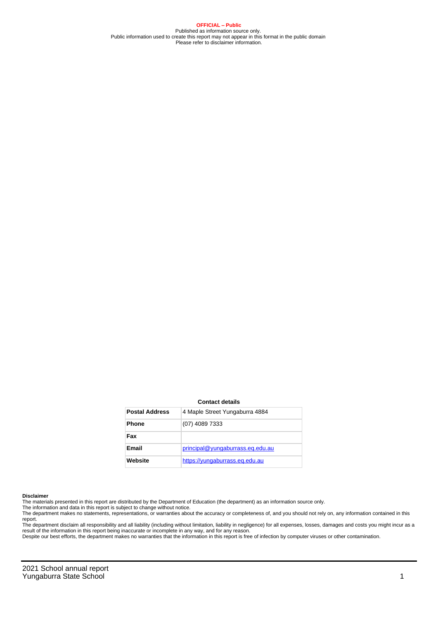**OFFICIAL – Public** Published as information source only. Public information used to create this report may not appear in this format in the public domain Please refer to disclaimer information.

#### **Contact details**

| <b>Postal Address</b> | 4 Maple Street Yungaburra 4884   |
|-----------------------|----------------------------------|
| <b>Phone</b>          | (07) 4089 7333                   |
| Fax                   |                                  |
| Email                 | principal@yungaburrass.eq.edu.au |
| Website               | https://yungaburrass.eg.edu.au   |

#### **Disclaimer**

The materials presented in this report are distributed by the Department of Education (the department) as an information source only.

The information and data in this report is subject to change without notice.<br>The department makes no statements, representations, or warranties about the accuracy or completeness of, and you should not rely on, any informa report. The department disclaim all responsibility and all liability (including without limitation, liability in negligence) for all expenses, losses, damages and costs you might incur as a

result of the information in this report being inaccurate or incomplete in any way, and for any reason.

Despite our best efforts, the department makes no warranties that the information in this report is free of infection by computer viruses or other contamination.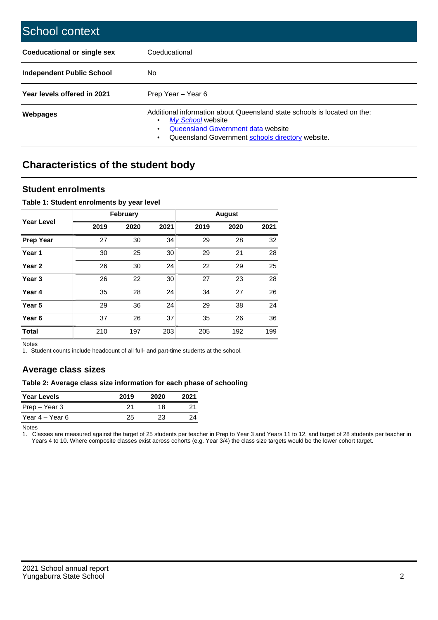| School context                   |                                                                                                                                                                                              |
|----------------------------------|----------------------------------------------------------------------------------------------------------------------------------------------------------------------------------------------|
| Coeducational or single sex      | Coeducational                                                                                                                                                                                |
| <b>Independent Public School</b> | No.                                                                                                                                                                                          |
| Year levels offered in 2021      | Prep Year - Year 6                                                                                                                                                                           |
| Webpages                         | Additional information about Queensland state schools is located on the:<br>My School website<br>Queensland Government data website<br>Queensland Government schools directory website.<br>٠ |

# **Characteristics of the student body**

## **Student enrolments**

### **Table 1: Student enrolments by year level**

|                   |      | <b>February</b> |      |      | <b>August</b> |      |
|-------------------|------|-----------------|------|------|---------------|------|
| <b>Year Level</b> | 2019 | 2020            | 2021 | 2019 | 2020          | 2021 |
| <b>Prep Year</b>  | 27   | 30              | 34   | 29   | 28            | 32   |
| Year 1            | 30   | 25              | 30   | 29   | 21            | 28   |
| Year 2            | 26   | 30              | 24   | 22   | 29            | 25   |
| Year <sub>3</sub> | 26   | 22              | 30   | 27   | 23            | 28   |
| Year 4            | 35   | 28              | 24   | 34   | 27            | 26   |
| Year <sub>5</sub> | 29   | 36              | 24   | 29   | 38            | 24   |
| Year <sub>6</sub> | 37   | 26              | 37   | 35   | 26            | 36   |
| <b>Total</b>      | 210  | 197             | 203  | 205  | 192           | 199  |

Notes

1. Student counts include headcount of all full- and part-time students at the school.

## **Average class sizes**

## **Table 2: Average class size information for each phase of schooling**

| <b>Year Levels</b> | 2019 | 2020 | 2021 |
|--------------------|------|------|------|
| Prep – Year 3      |      | 18   | 21   |
| Year 4 – Year 6    | 25   | 23.  | 24   |

Notes

1. Classes are measured against the target of 25 students per teacher in Prep to Year 3 and Years 11 to 12, and target of 28 students per teacher in Years 4 to 10. Where composite classes exist across cohorts (e.g. Year 3/4) the class size targets would be the lower cohort target.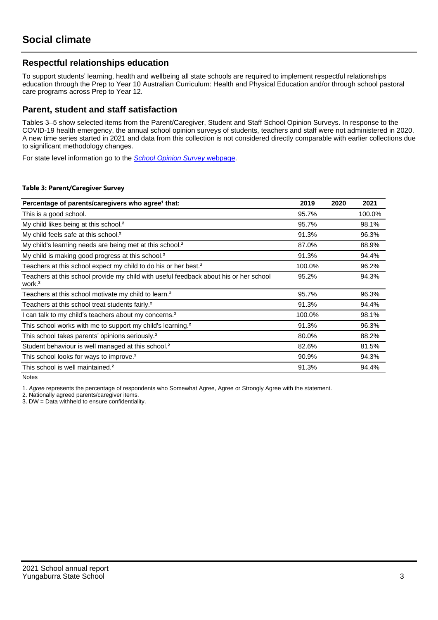## **Respectful relationships education**

To support students' learning, health and wellbeing all state schools are required to implement respectful relationships education through the Prep to Year 10 Australian Curriculum: Health and Physical Education and/or through school pastoral care programs across Prep to Year 12.

## **Parent, student and staff satisfaction**

Tables 3–5 show selected items from the Parent/Caregiver, Student and Staff School Opinion Surveys. In response to the COVID-19 health emergency, the annual school opinion surveys of students, teachers and staff were not administered in 2020. A new time series started in 2021 and data from this collection is not considered directly comparable with earlier collections due to significant methodology changes.

For state level information go to the **[School Opinion Survey](https://qed.qld.gov.au/publications/reports/statistics/schooling/schools/schoolopinionsurvey) webpage**.

#### **Table 3: Parent/Caregiver Survey**

| Percentage of parents/caregivers who agree <sup>1</sup> that:                                               | 2019   | 2020 | 2021   |
|-------------------------------------------------------------------------------------------------------------|--------|------|--------|
| This is a good school.                                                                                      | 95.7%  |      | 100.0% |
| My child likes being at this school. <sup>2</sup>                                                           | 95.7%  |      | 98.1%  |
| My child feels safe at this school. <sup>2</sup>                                                            | 91.3%  |      | 96.3%  |
| My child's learning needs are being met at this school. <sup>2</sup>                                        | 87.0%  |      | 88.9%  |
| My child is making good progress at this school. <sup>2</sup>                                               | 91.3%  |      | 94.4%  |
| Teachers at this school expect my child to do his or her best. <sup>2</sup>                                 | 100.0% |      | 96.2%  |
| Teachers at this school provide my child with useful feedback about his or her school<br>work. <sup>2</sup> | 95.2%  |      | 94.3%  |
| Teachers at this school motivate my child to learn. <sup>2</sup>                                            | 95.7%  |      | 96.3%  |
| Teachers at this school treat students fairly. <sup>2</sup>                                                 | 91.3%  |      | 94.4%  |
| can talk to my child's teachers about my concerns. <sup>2</sup>                                             | 100.0% |      | 98.1%  |
| This school works with me to support my child's learning. <sup>2</sup>                                      | 91.3%  |      | 96.3%  |
| This school takes parents' opinions seriously. <sup>2</sup>                                                 | 80.0%  |      | 88.2%  |
| Student behaviour is well managed at this school. <sup>2</sup>                                              | 82.6%  |      | 81.5%  |
| This school looks for ways to improve. <sup>2</sup>                                                         | 90.9%  |      | 94.3%  |
| This school is well maintained. <sup>2</sup>                                                                | 91.3%  |      | 94.4%  |

Notes

1. Agree represents the percentage of respondents who Somewhat Agree, Agree or Strongly Agree with the statement.

2. Nationally agreed parents/caregiver items.

3. DW = Data withheld to ensure confidentiality.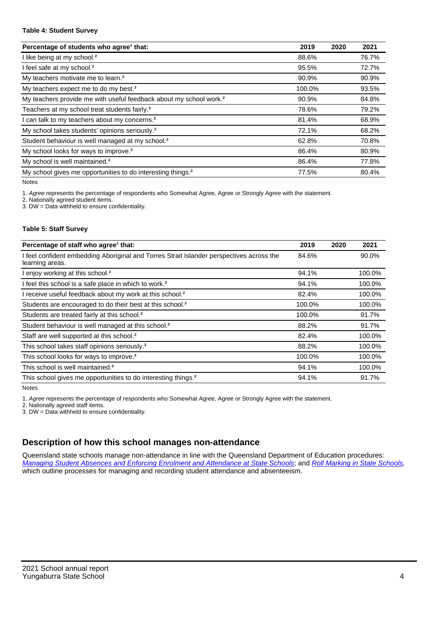#### **Table 4: Student Survey**

| Percentage of students who agree <sup>1</sup> that:                            | 2019   | 2020 | 2021  |
|--------------------------------------------------------------------------------|--------|------|-------|
| I like being at my school. <sup>2</sup>                                        | 88.6%  |      | 76.7% |
| I feel safe at my school. <sup>2</sup>                                         | 95.5%  |      | 72.7% |
| My teachers motivate me to learn. <sup>2</sup>                                 | 90.9%  |      | 90.9% |
| My teachers expect me to do my best. <sup>2</sup>                              | 100.0% |      | 93.5% |
| My teachers provide me with useful feedback about my school work. <sup>2</sup> | 90.9%  |      | 84.8% |
| Teachers at my school treat students fairly. <sup>2</sup>                      | 78.6%  |      | 79.2% |
| I can talk to my teachers about my concerns. <sup>2</sup>                      | 81.4%  |      | 68.9% |
| My school takes students' opinions seriously. <sup>2</sup>                     | 72.1%  |      | 68.2% |
| Student behaviour is well managed at my school. <sup>2</sup>                   | 62.8%  |      | 70.8% |
| My school looks for ways to improve. <sup>2</sup>                              | 86.4%  |      | 80.9% |
| My school is well maintained. <sup>2</sup>                                     | 86.4%  |      | 77.8% |
| My school gives me opportunities to do interesting things. <sup>2</sup>        | 77.5%  |      | 80.4% |

Notes

1. Agree represents the percentage of respondents who Somewhat Agree, Agree or Strongly Agree with the statement.

2. Nationally agreed student items.

3. DW = Data withheld to ensure confidentiality.

### **Table 5: Staff Survey**

| Percentage of staff who agree <sup>1</sup> that:                                                            | 2019   | 2020 | 2021   |
|-------------------------------------------------------------------------------------------------------------|--------|------|--------|
| I feel confident embedding Aboriginal and Torres Strait Islander perspectives across the<br>learning areas. | 84.6%  |      | 90.0%  |
| I enjoy working at this school. <sup>2</sup>                                                                | 94.1%  |      | 100.0% |
| I feel this school is a safe place in which to work. <sup>2</sup>                                           | 94.1%  |      | 100.0% |
| I receive useful feedback about my work at this school. <sup>2</sup>                                        | 82.4%  |      | 100.0% |
| Students are encouraged to do their best at this school. <sup>2</sup>                                       | 100.0% |      | 100.0% |
| Students are treated fairly at this school. <sup>2</sup>                                                    | 100.0% |      | 91.7%  |
| Student behaviour is well managed at this school. <sup>2</sup>                                              | 88.2%  |      | 91.7%  |
| Staff are well supported at this school. <sup>2</sup>                                                       | 82.4%  |      | 100.0% |
| This school takes staff opinions seriously. <sup>2</sup>                                                    | 88.2%  |      | 100.0% |
| This school looks for ways to improve. <sup>2</sup>                                                         | 100.0% |      | 100.0% |
| This school is well maintained. <sup>2</sup>                                                                | 94.1%  |      | 100.0% |
| This school gives me opportunities to do interesting things. <sup>2</sup>                                   | 94.1%  |      | 91.7%  |

Notes

1. Agree represents the percentage of respondents who Somewhat Agree, Agree or Strongly Agree with the statement.

2. Nationally agreed staff items.

3. DW = Data withheld to ensure confidentiality.

## **Description of how this school manages non-attendance**

Queensland state schools manage non-attendance in line with the Queensland Department of Education procedures: [Managing Student Absences and Enforcing Enrolment and Attendance at State Schools](https://ppr.qed.qld.gov.au/pp/managing-student-absences-and-enforcing-enrolment-and-attendance-at-state-schools-procedure); and [Roll Marking in State Schools,](https://ppr.qed.qld.gov.au/pp/roll-marking-in-state-schools-procedure) which outline processes for managing and recording student attendance and absenteeism.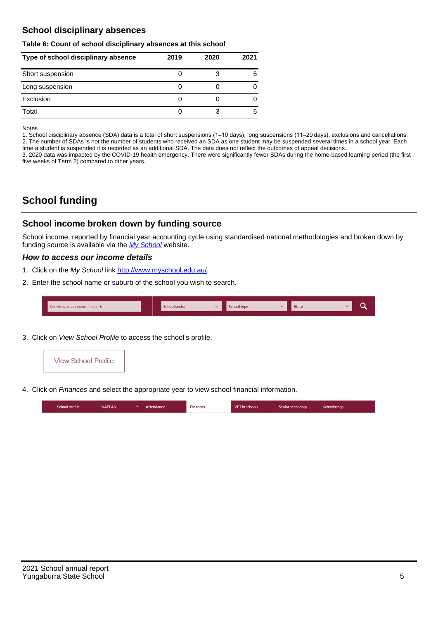## **School disciplinary absences**

#### **Table 6: Count of school disciplinary absences at this school**

| Type of school disciplinary absence | 2019 | 2020 | 2021 |
|-------------------------------------|------|------|------|
| Short suspension                    |      |      | 6    |
| Long suspension                     |      |      |      |
| Exclusion                           |      |      |      |
| Total                               |      |      | 6    |

Notes

1. School disciplinary absence (SDA) data is a total of short suspensions (1–10 days), long suspensions (11–20 days), exclusions and cancellations. 2. The number of SDAs is not the number of students who received an SDA as one student may be suspended several times in a school year. Each time a student is suspended it is recorded as an additional SDA. The data does not reflect the outcomes of appeal decisions.

3. 2020 data was impacted by the COVID-19 health emergency. There were significantly fewer SDAs during the home-based learning period (the first five weeks of Term 2) compared to other years.

# **School funding**

## **School income broken down by funding source**

School income, reported by financial year accounting cycle using standardised national methodologies and broken down by funding source is available via the  $My$  School website.

## **How to access our income details**

- 1. Click on the My School link <http://www.myschool.edu.au/>.
- 2. Enter the school name or suburb of the school you wish to search.

|  | Search by school name or suburb |  | <b>School sector</b> |  | $\sim$ and $\sim$ represents the set of $\sim$ | <b>State</b> |  |  |  |
|--|---------------------------------|--|----------------------|--|------------------------------------------------|--------------|--|--|--|
|--|---------------------------------|--|----------------------|--|------------------------------------------------|--------------|--|--|--|

3. Click on View School Profile to access the school's profile.



4. Click on Finances and select the appropriate year to view school financial information.

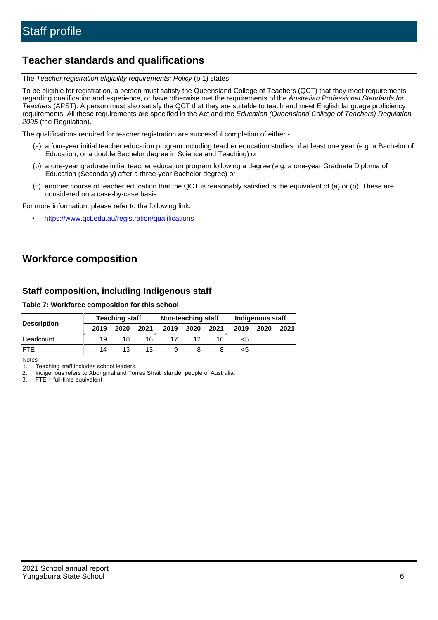## **Teacher standards and qualifications**

The Teacher registration eligibility requirements: Policy (p.1) states:

To be eligible for registration, a person must satisfy the Queensland College of Teachers (QCT) that they meet requirements regarding qualification and experience, or have otherwise met the requirements of the Australian Professional Standards for Teachers (APST). A person must also satisfy the QCT that they are suitable to teach and meet English language proficiency requirements. All these requirements are specified in the Act and the Education (Queensland College of Teachers) Regulation 2005 (the Regulation).

The qualifications required for teacher registration are successful completion of either -

- (a) a four-year initial teacher education program including teacher education studies of at least one year (e.g. a Bachelor of Education, or a double Bachelor degree in Science and Teaching) or
- (b) a one-year graduate initial teacher education program following a degree (e.g. a one-year Graduate Diploma of Education (Secondary) after a three-year Bachelor degree) or
- (c) another course of teacher education that the QCT is reasonably satisfied is the equivalent of (a) or (b). These are considered on a case-by-case basis.

For more information, please refer to the following link:

• <https://www.qct.edu.au/registration/qualifications>

# **Workforce composition**

## **Staff composition, including Indigenous staff**

**Table 7: Workforce composition for this school**

|                    |      | <b>Teaching staff</b> |      | Non-teaching staff |      |      | Indigenous staff |      |      |
|--------------------|------|-----------------------|------|--------------------|------|------|------------------|------|------|
| <b>Description</b> | 2019 | 2020                  | 2021 | 2019               | 2020 | 2021 | 2019             | 2020 | 2021 |
| Headcount          | 19   |                       | 16   |                    |      | 16   | <5               |      |      |
| <b>FTF</b>         | 14   | 13                    | 13   |                    |      |      | <5               |      |      |

Notes

1. Teaching staff includes school leaders.

2. Indigenous refers to Aboriginal and Torres Strait Islander people of Australia.

3. FTE = full-time equivalent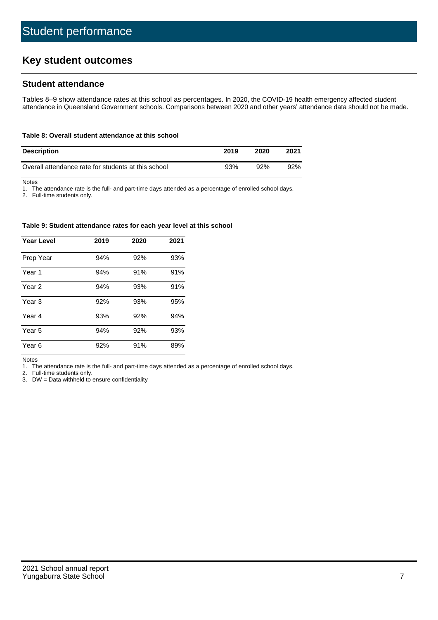# **Key student outcomes**

## **Student attendance**

Tables 8–9 show attendance rates at this school as percentages. In 2020, the COVID-19 health emergency affected student attendance in Queensland Government schools. Comparisons between 2020 and other years' attendance data should not be made.

### **Table 8: Overall student attendance at this school**

| <b>Description</b>                                  | 2019 | 2020 | 2021 |
|-----------------------------------------------------|------|------|------|
| Overall attendance rate for students at this school | 93%  | 92%  | 92%  |

Notes

1. The attendance rate is the full- and part-time days attended as a percentage of enrolled school days.

2. Full-time students only.

#### **Table 9: Student attendance rates for each year level at this school**

| <b>Year Level</b> | 2019 | 2020 | 2021 |
|-------------------|------|------|------|
| Prep Year         | 94%  | 92%  | 93%  |
| Year <sub>1</sub> | 94%  | 91%  | 91%  |
| Year 2            | 94%  | 93%  | 91%  |
| Year <sub>3</sub> | 92%  | 93%  | 95%  |
| Year 4            | 93%  | 92%  | 94%  |
| Year 5            | 94%  | 92%  | 93%  |
| Year <sub>6</sub> | 92%  | 91%  | 89%  |

Notes

1. The attendance rate is the full- and part-time days attended as a percentage of enrolled school days.

2. Full-time students only.

3. DW = Data withheld to ensure confidentiality